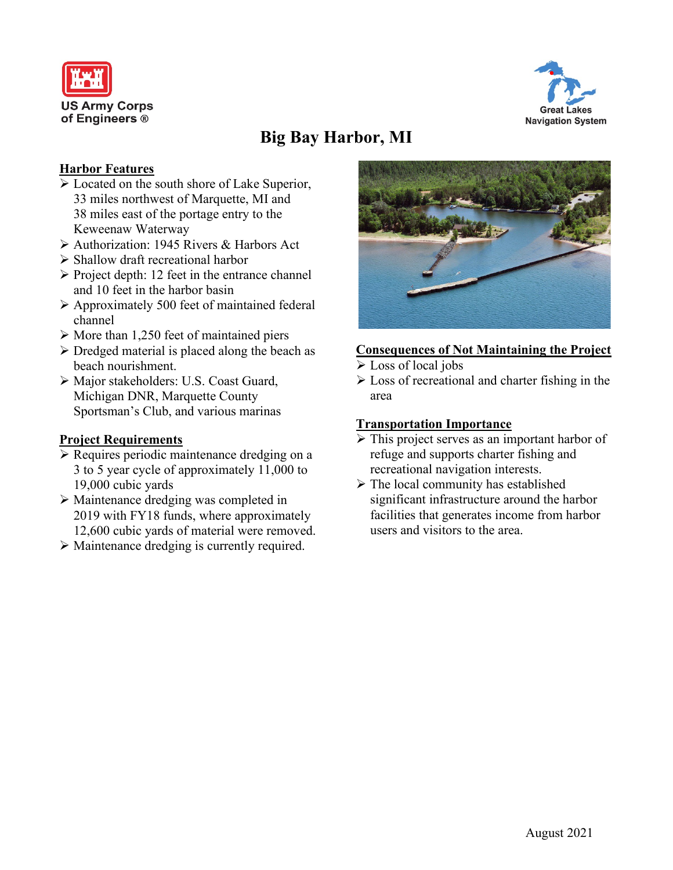



# **Big Bay Harbor, MI**

## **Harbor Features**

- Located on the south shore of Lake Superior, 33 miles northwest of Marquette, MI and 38 miles east of the portage entry to the Keweenaw Waterway
- Authorization: 1945 Rivers & Harbors Act
- $\triangleright$  Shallow draft recreational harbor
- $\triangleright$  Project depth: 12 feet in the entrance channel and 10 feet in the harbor basin
- $\triangleright$  Approximately 500 feet of maintained federal channel
- $\triangleright$  More than 1,250 feet of maintained piers
- $\triangleright$  Dredged material is placed along the beach as beach nourishment.
- Major stakeholders: U.S. Coast Guard, Michigan DNR, Marquette County Sportsman's Club, and various marinas

#### **Project Requirements**

- **Requires periodic maintenance dredging on a** 3 to 5 year cycle of approximately 11,000 to 19,000 cubic yards
- Maintenance dredging was completed in 2019 with FY18 funds, where approximately 12,600 cubic yards of material were removed.
- Maintenance dredging is currently required.



## **Consequences of Not Maintaining the Project**

- Eoss of local jobs
- $\triangleright$  Loss of recreational and charter fishing in the area

#### **Transportation Importance**

- $\triangleright$  This project serves as an important harbor of refuge and supports charter fishing and recreational navigation interests.
- $\triangleright$  The local community has established significant infrastructure around the harbor facilities that generates income from harbor users and visitors to the area.